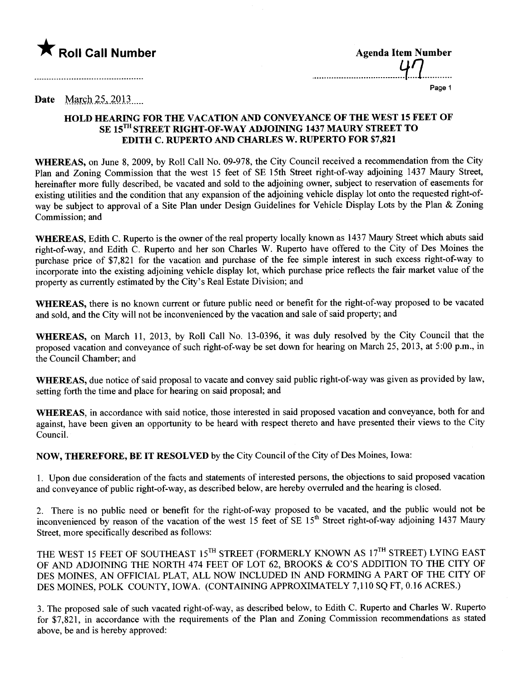

| <b>Agenda Item Number</b> |
|---------------------------|
| $U\Gamma$                 |
|                           |

....................................Y..1...........

Page 1

## Date March  $25, 2013$

## HOLD HEARING FOR THE VACATION AND CONVEYANCE OF THE WEST 15 FEET OF SE 15TH STREET RIGHT-OF-WAY ADJOINING 1437 MAURY STREET TO EDITH C. RUPERTO AND CHARLES W. RUPERTO FOR \$7,821

WHEREAS, on June 8, 2009, by Roll Call No. 09-978, the City Council received a recommendation from the City Plan and Zoning Commission that the west 15 feet of SE 15th Street right-of-way adjoining 1437 Maury Street, hereinafter more fully described, be vacated and sold to the adjoining owner, subject to reservation of easements for existing utilties and the condition that any expansion of the adjoining vehicle display lot onto the requested right-ofway be subject to approval of a Site Plan under Design Guidelines for Vehicle Display Lots by the Plan & Zoning Commission; and

WHEREAS, Edith C. Ruperto is the owner of the real property locally known as 1437 Maury Street which abuts said right-of-way, and Edith C. Ruperto and her son Charles W. Ruperto have offered to the City of Des Moines the purchase price of \$7,821 for the vacation and purchase of the fee simple interest in such excess right-of-way to incorporate into the existing adjoining vehicle display lot, which purchase price reflects the fair market value of the property as currently estimated by the City's Real Estate Division; and

WHEREAS, there is no known current or future public need or benefit for the right-of-way proposed to be vacated and sold, and the City will not be inconvenienced by the vacation and sale of said property; and

WHEREAS, on March 11, 2013, by Roll Call No. 13-0396, it was duly resolved by the City Council that the proposed vacation and conveyance of such right-of-way be set down for hearing on March 25,2013, at 5:00 p.m., in the Council Chamber; and

WHEREAS, due notice of said proposal to vacate and convey said public right-of-way was given as provided by law, setting forth the time and place for hearing on said proposal; and

WHEREAS, in accordance with said notice, those interested in said proposed vacation and conveyance, both for and against, have been given an opportunity to be heard with respect thereto and have presented their views to the City CounciL.

NOW, THEREFORE, BE IT RESOLVED by the City Council of the City of Des Moines, Iowa:

1. Upon due consideration of the facts and statements of interested persons, the objections to said proposed vacation and conveyance of public right-of-way, as described below, are hereby overruled and the hearing is closed.

2. There is no public need or benefit for the right-of-way proposed to be vacated, and the public would not be inconvenienced by reason of the vacation of the west 15 feet of SE 15<sup>th</sup> Street right-of-way adjoining 1437 Maury Street, more specifically described as follows:

THE WEST 15 FEET OF SOUTHEAST 15TH STREET (FORMERLY KNOWN AS 17TH STREET) LYING EAST OF AND ADJOINING THE NORTH 474 FEET OF LOT 62, BROOKS & CO'S ADDITION TO THE CITY OF DES MOINES, AN OFFICIAL PLAT, ALL NOW INCLUDED IN AND FORMING A PART OF THE CITY OF DES MOINES, POLK COUNTY, IOWA. (CONTAINING APPROXIMATELY 7,110 SQ FT, 0.16 ACRES.)

3. The proposed sale of such vacated right-of-way, as described below, to Edith C. Ruperto and Charles W. Ruperto for \$7,821, in accordance with the requirements of the Plan and Zoning Commission recommendations as stated above, be and is hereby approved: